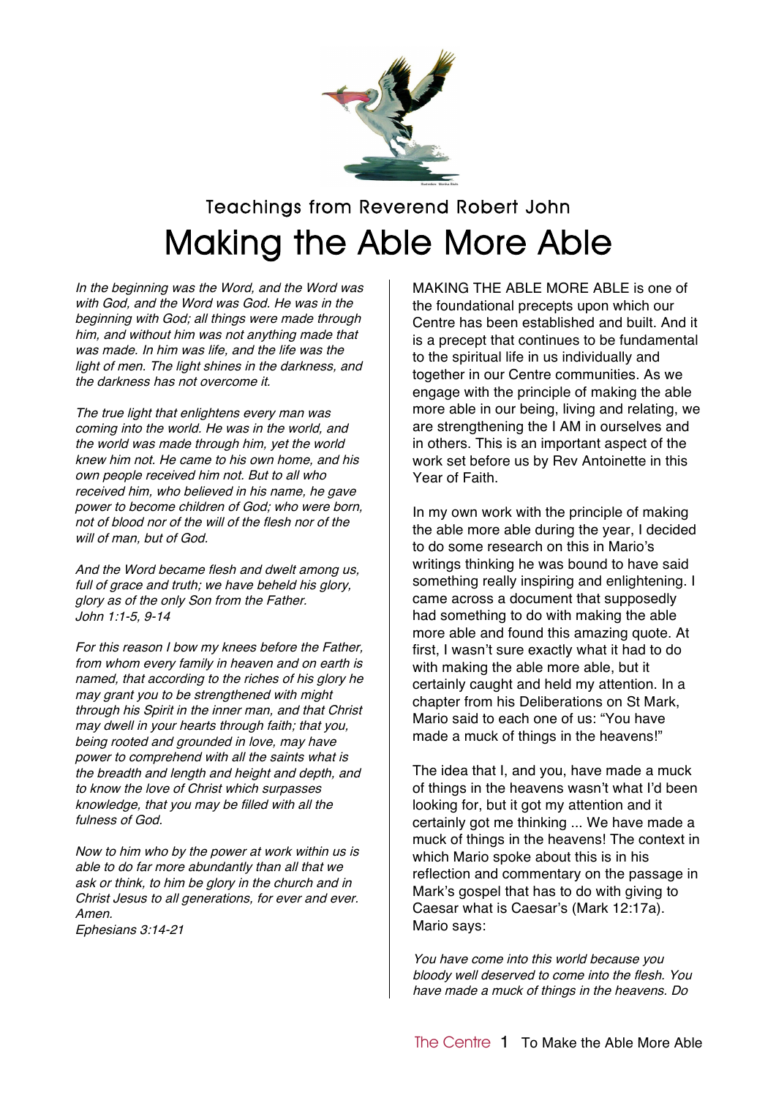

## Teachings from Reverend Robert John Making the Able More Able

In the beginning was the Word, and the Word was with God, and the Word was God. He was in the beginning with God; all things were made through him, and without him was not anything made that was made. In him was life, and the life was the light of men. The light shines in the darkness, and the darkness has not overcome it.

The true light that enlightens every man was coming into the world. He was in the world, and the world was made through him, yet the world knew him not. He came to his own home, and his own people received him not. But to all who received him, who believed in his name, he gave power to become children of God; who were born, not of blood nor of the will of the flesh nor of the will of man, but of God.

And the Word became flesh and dwelt among us, full of grace and truth; we have beheld his glory, glory as of the only Son from the Father. John 1:1-5, 9-14

For this reason I bow my knees before the Father, from whom every family in heaven and on earth is named, that according to the riches of his glory he may grant you to be strengthened with might through his Spirit in the inner man, and that Christ may dwell in your hearts through faith; that you, being rooted and grounded in love, may have power to comprehend with all the saints what is the breadth and length and height and depth, and to know the love of Christ which surpasses knowledge, that you may be filled with all the fulness of God.

Now to him who by the power at work within us is able to do far more abundantly than all that we ask or think, to him be glory in the church and in Christ Jesus to all generations, for ever and ever. Amen. Ephesians 3:14-21

MAKING THE ABLE MORE ABLE is one of the foundational precepts upon which our Centre has been established and built. And it is a precept that continues to be fundamental to the spiritual life in us individually and together in our Centre communities. As we engage with the principle of making the able more able in our being, living and relating, we are strengthening the I AM in ourselves and in others. This is an important aspect of the work set before us by Rev Antoinette in this Year of Faith.

In my own work with the principle of making the able more able during the year, I decided to do some research on this in Mario's writings thinking he was bound to have said something really inspiring and enlightening. I came across a document that supposedly had something to do with making the able more able and found this amazing quote. At first, I wasn't sure exactly what it had to do with making the able more able, but it certainly caught and held my attention. In a chapter from his Deliberations on St Mark, Mario said to each one of us: "You have made a muck of things in the heavens!"

The idea that I, and you, have made a muck of things in the heavens wasn't what I'd been looking for, but it got my attention and it certainly got me thinking ... We have made a muck of things in the heavens! The context in which Mario spoke about this is in his reflection and commentary on the passage in Mark's gospel that has to do with giving to Caesar what is Caesar's (Mark 12:17a). Mario says:

You have come into this world because you bloody well deserved to come into the flesh. You have made <sup>a</sup> muck of things in the heavens. Do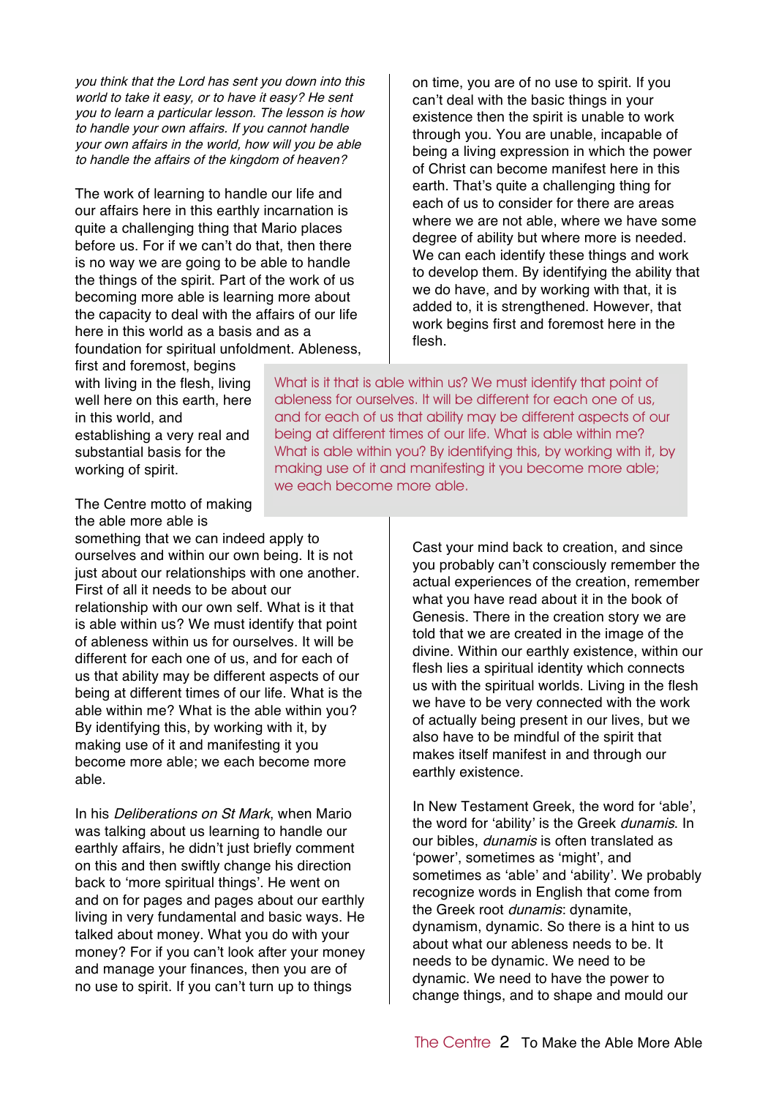you think that the Lord has sent you down into this world to take it easy, or to have it easy? He sent you to learn <sup>a</sup> particular lesson. The lesson is how to handle your own affairs. If you cannot handle your own affairs in the world, how will you be able to handle the affairs of the kingdom of heaven?

The work of learning to handle our life and our affairs here in this earthly incarnation is quite a challenging thing that Mario places before us. For if we can't do that, then there is no way we are going to be able to handle the things of the spirit. Part of the work of us becoming more able is learning more about the capacity to deal with the affairs of our life here in this world as a basis and as a foundation for spiritual unfoldment. Ableness, on time, you are of no use to spirit. If you can't deal with the basic things in your existence then the spirit is unable to work through you. You are unable, incapable of being a living expression in which the power of Christ can become manifest here in this earth. That's quite a challenging thing for each of us to consider for there are areas where we are not able, where we have some degree of ability but where more is needed. We can each identify these things and work to develop them. By identifying the ability that we do have, and by working with that, it is added to, it is strengthened. However, that work begins first and foremost here in the flesh.

first and foremost, begins with living in the flesh, living well here on this earth, here in this world, and establishing a very real and substantial basis for the working of spirit.

The Centre motto of making the able more able is

something that we can indeed apply to ourselves and within our own being. It is not just about our relationships with one another. First of all it needs to be about our relationship with our own self. What is it that is able within us? We must identify that point of ableness within us for ourselves. It will be different for each one of us, and for each of us that ability may be different aspects of our being at different times of our life. What is the able within me? What is the able within you? By identifying this, by working with it, by making use of it and manifesting it you become more able; we each become more able.

In his Deliberations on St Mark, when Mario was talking about us learning to handle our earthly affairs, he didn't just briefly comment on this and then swiftly change his direction back to 'more spiritual things'. He went on and on for pages and pages about our earthly living in very fundamental and basic ways. He talked about money. What you do with your money? For if you can't look after your money and manage your finances, then you are of no use to spirit. If you can't turn up to things

What is it that is able within us? We must identify that point of ableness for ourselves. It will be different for each one of us, and for each of us that ability may be different aspects of our being at different times of our life. What is able within me? What is able within you? By identifying this, by working with it, by making use of it and manifesting it you become more able; we each become more able.

> Cast your mind back to creation, and since you probably can't consciously remember the actual experiences of the creation, remember what you have read about it in the book of Genesis. There in the creation story we are told that we are created in the image of the divine. Within our earthly existence, within our flesh lies a spiritual identity which connects us with the spiritual worlds. Living in the flesh we have to be very connected with the work of actually being present in our lives, but we also have to be mindful of the spirit that makes itself manifest in and through our earthly existence.

> In New Testament Greek, the word for 'able', the word for 'ability' is the Greek dunamis. In our bibles, dunamis is often translated as 'power', sometimes as 'might', and sometimes as 'able' and 'ability'. We probably recognize words in English that come from the Greek root *dunamis*: dynamite. dynamism, dynamic. So there is a hint to us about what our ableness needs to be. It needs to be dynamic. We need to be dynamic. We need to have the power to change things, and to shape and mould our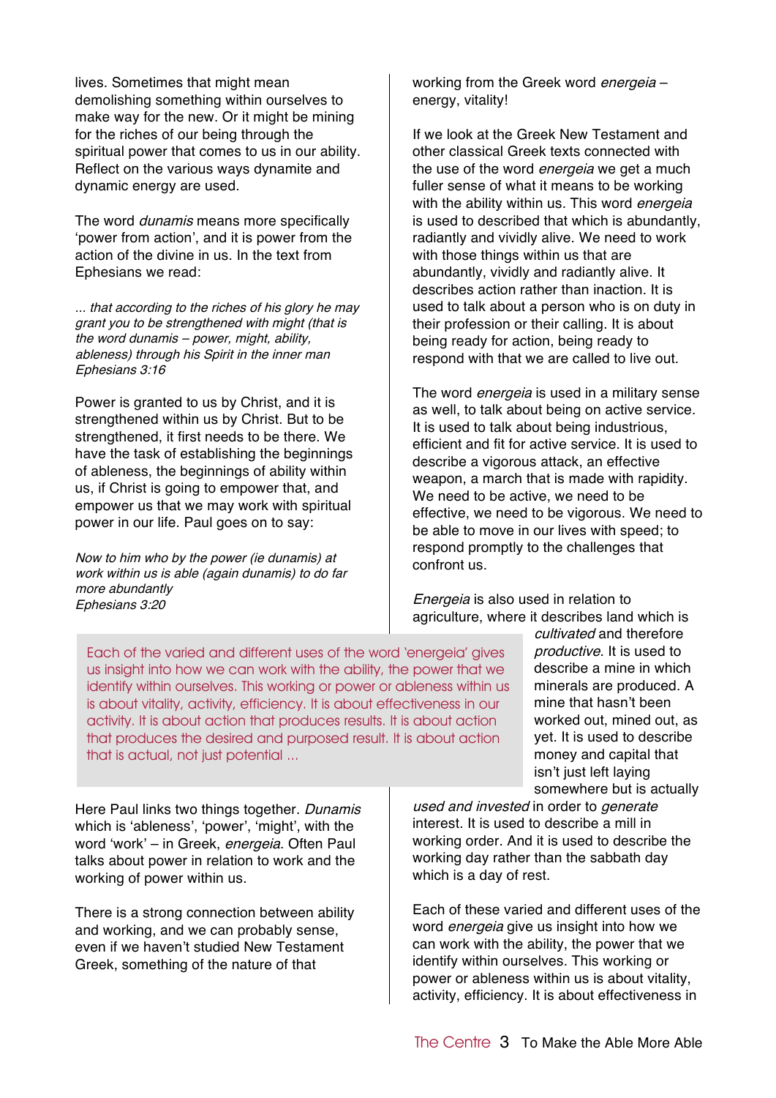lives. Sometimes that might mean demolishing something within ourselves to make way for the new. Or it might be mining for the riches of our being through the spiritual power that comes to us in our ability. Reflect on the various ways dynamite and dynamic energy are used.

The word *dunamis* means more specifically 'power from action', and it is power from the action of the divine in us. In the text from Ephesians we read:

... that according to the riches of his glory he may grant you to be strengthened with might (that is the word dunamis – power, might, ability, ableness) through his Spirit in the inner man Ephesians 3:16

Power is granted to us by Christ, and it is strengthened within us by Christ. But to be strengthened, it first needs to be there. We have the task of establishing the beginnings of ableness, the beginnings of ability within us, if Christ is going to empower that, and empower us that we may work with spiritual power in our life. Paul goes on to say:

Now to him who by the power (ie dunamis) at work within us is able (again dunamis) to do far more abundantly Ephesians 3:20

working from the Greek word *energeia* energy, vitality!

If we look at the Greek New Testament and other classical Greek texts connected with the use of the word *energeia* we get a much fuller sense of what it means to be working with the ability within us. This word *energeia* is used to described that which is abundantly, radiantly and vividly alive. We need to work with those things within us that are abundantly, vividly and radiantly alive. It describes action rather than inaction. It is used to talk about a person who is on duty in their profession or their calling. It is about being ready for action, being ready to respond with that we are called to live out.

The word *energeia* is used in a military sense as well, to talk about being on active service. It is used to talk about being industrious, efficient and fit for active service. It is used to describe a vigorous attack, an effective weapon, a march that is made with rapidity. We need to be active, we need to be effective, we need to be vigorous. We need to be able to move in our lives with speed; to respond promptly to the challenges that confront us.

Energeia is also used in relation to agriculture, where it describes land which is

Each of the varied and different uses of the word 'energeia' gives us insight into how we can work with the ability, the power that we identify within ourselves. This working or power or ableness within us is about vitality, activity, efficiency. It is about effectiveness in our activity. It is about action that produces results. It is about action that produces the desired and purposed result. It is about action that is actual, not just potential ...

cultivated and therefore productive. It is used to describe a mine in which minerals are produced. A mine that hasn't been worked out, mined out, as yet. It is used to describe money and capital that isn't just left laying somewhere but is actually

Here Paul links two things together. Dunamis which is 'ableness', 'power', 'might', with the word 'work' – in Greek, energeia. Often Paul talks about power in relation to work and the working of power within us.

There is a strong connection between ability and working, and we can probably sense, even if we haven't studied New Testament Greek, something of the nature of that

used and invested in order to generate interest. It is used to describe a mill in working order. And it is used to describe the working day rather than the sabbath day which is a day of rest.

Each of these varied and different uses of the word *energeia* give us insight into how we can work with the ability, the power that we identify within ourselves. This working or power or ableness within us is about vitality, activity, efficiency. It is about effectiveness in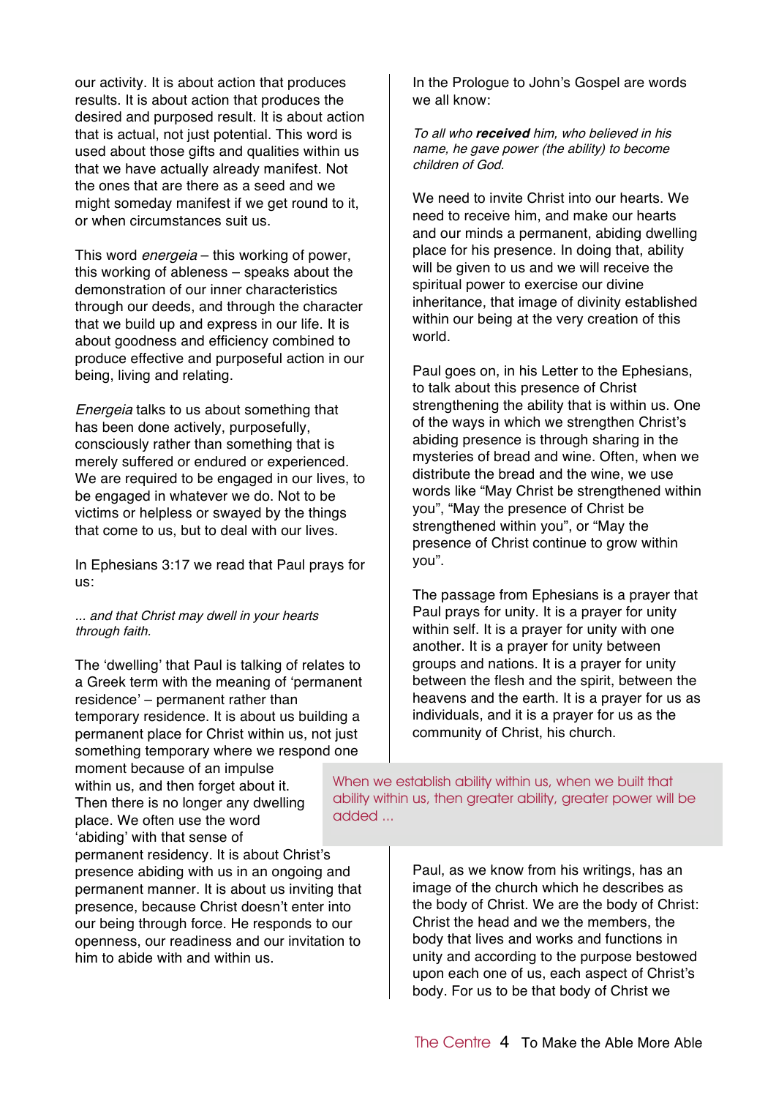our activity. It is about action that produces results. It is about action that produces the desired and purposed result. It is about action that is actual, not just potential. This word is used about those gifts and qualities within us that we have actually already manifest. Not the ones that are there as a seed and we might someday manifest if we get round to it, or when circumstances suit us.

This word *energeia* – this working of power, this working of ableness – speaks about the demonstration of our inner characteristics through our deeds, and through the character that we build up and express in our life. It is about goodness and efficiency combined to produce effective and purposeful action in our being, living and relating.

Energeia talks to us about something that has been done actively, purposefully, consciously rather than something that is merely suffered or endured or experienced. We are required to be engaged in our lives, to be engaged in whatever we do. Not to be victims or helpless or swayed by the things that come to us, but to deal with our lives.

In Ephesians 3:17 we read that Paul prays for us:

... and that Christ may dwell in your hearts through faith.

The 'dwelling' that Paul is talking of relates to a Greek term with the meaning of 'permanent residence' – permanent rather than temporary residence. It is about us building a permanent place for Christ within us, not just something temporary where we respond one moment because of an impulse

within us, and then forget about it. Then there is no longer any dwelling place. We often use the word 'abiding' with that sense of

permanent residency. It is about Christ's presence abiding with us in an ongoing and permanent manner. It is about us inviting that presence, because Christ doesn't enter into our being through force. He responds to our openness, our readiness and our invitation to him to abide with and within us.

In the Prologue to John's Gospel are words we all know:

To all who **received** him, who believed in his name, he gave power (the ability) to become children of God.

We need to invite Christ into our hearts. We need to receive him, and make our hearts and our minds a permanent, abiding dwelling place for his presence. In doing that, ability will be given to us and we will receive the spiritual power to exercise our divine inheritance, that image of divinity established within our being at the very creation of this world.

Paul goes on, in his Letter to the Ephesians, to talk about this presence of Christ strengthening the ability that is within us. One of the ways in which we strengthen Christ's abiding presence is through sharing in the mysteries of bread and wine. Often, when we distribute the bread and the wine, we use words like "May Christ be strengthened within you", "May the presence of Christ be strengthened within you", or "May the presence of Christ continue to grow within you".

The passage from Ephesians is a prayer that Paul prays for unity. It is a prayer for unity within self. It is a prayer for unity with one another. It is a prayer for unity between groups and nations. It is a prayer for unity between the flesh and the spirit, between the heavens and the earth. It is a prayer for us as individuals, and it is a prayer for us as the community of Christ, his church.

When we establish ability within us, when we built that ability within us, then greater ability, greater power will be added ...

> Paul, as we know from his writings, has an image of the church which he describes as the body of Christ. We are the body of Christ: Christ the head and we the members, the body that lives and works and functions in unity and according to the purpose bestowed upon each one of us, each aspect of Christ's body. For us to be that body of Christ we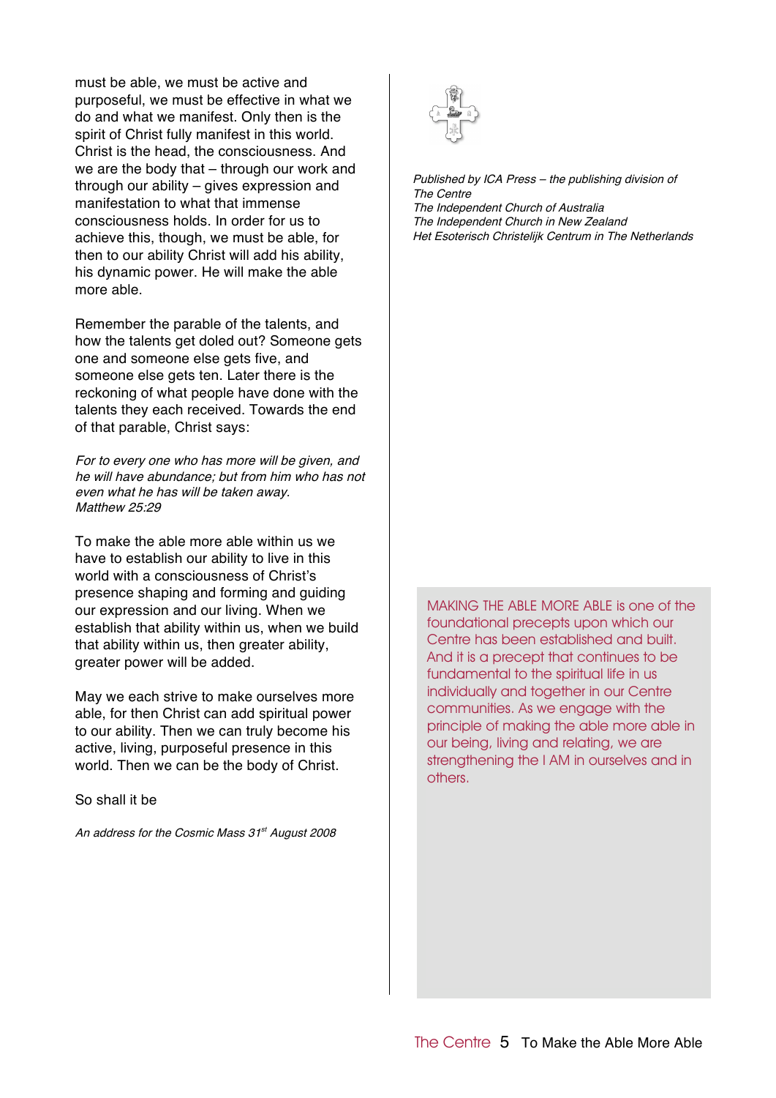must be able, we must be active and purposeful, we must be effective in what we do and what we manifest. Only then is the spirit of Christ fully manifest in this world. Christ is the head, the consciousness. And we are the body that – through our work and through our ability – gives expression and manifestation to what that immense consciousness holds. In order for us to achieve this, though, we must be able, for then to our ability Christ will add his ability, his dynamic power. He will make the able more able.

Remember the parable of the talents, and how the talents get doled out? Someone gets one and someone else gets five, and someone else gets ten. Later there is the reckoning of what people have done with the talents they each received. Towards the end of that parable, Christ says:

For to every one who has more will be given, and he will have abundance; but from him who has not even what he has will be taken away. Matthew 25:29

To make the able more able within us we have to establish our ability to live in this world with a consciousness of Christ's presence shaping and forming and guiding our expression and our living. When we establish that ability within us, when we build that ability within us, then greater ability, greater power will be added.

May we each strive to make ourselves more able, for then Christ can add spiritual power to our ability. Then we can truly become his active, living, purposeful presence in this world. Then we can be the body of Christ.

So shall it be

An address for the Cosmic Mass 31<sup>st</sup> August 2008



Published by ICA Press – the publishing division of The Centre The Independent Church of Australia The Independent Church in New Zealand Het Esoterisch Christelijk Centrum in The Netherlands

MAKING THE ABLE MORE ABLE is one of the foundational precepts upon which our Centre has been established and built. And it is a precept that continues to be fundamental to the spiritual life in us individually and together in our Centre communities. As we engage with the principle of making the able more able in our being, living and relating, we are strengthening the I AM in ourselves and in others.